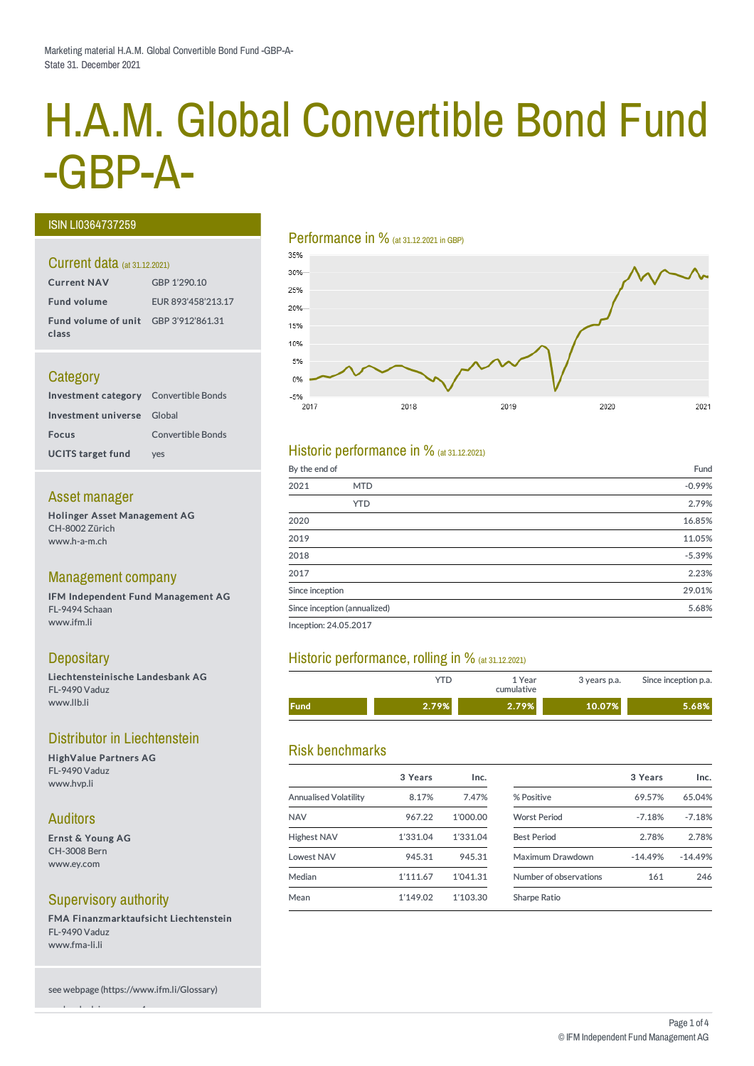# H.A.M. Global Convertible Bond Fund -GBP-A-

#### ISIN LI0364737259

#### Current data (at 31.12.2021)

| <b>Current NAV</b>                            | GBP 1'290.10       |
|-----------------------------------------------|--------------------|
| <b>Fund volume</b>                            | EUR 893'458'213.17 |
| Fund volume of unit GBP 3'912'861.31<br>class |                    |

#### **Category**

| <b>Investment category</b> Convertible Bonds |                   |
|----------------------------------------------|-------------------|
| Investment universe Global                   |                   |
| <b>Focus</b>                                 | Convertible Bonds |
| <b>UCITS target fund</b>                     | ves               |

#### Asset manager

Holinger Asset Management AG CH-8002 Zürich www.h-a-m.ch

#### Management company

IFM Independent Fund Management AG FL-9494 Schaan www.ifm.li

#### **Depositary**

Liechtensteinische Landesbank AG FL-9490 Vaduz www.llb.li

#### Distributor in Liechtenstein

HighValue Partners AG FL-9490 Vaduz www.hvp.li

#### Auditors

Ernst & Young AG CH-3008 Bern www.ey.com

#### Supervisory authority

see legal advisory page 4

FMA Finanzmarktaufsicht Liechtenstein FL-9490 Vaduz www.fma-li.li

see webpage (https://www.ifm.li/Glossary)

#### Performance in % (at 31.12.2021 in GBP)



#### Historic performance in  $%$  (at 31.12.2021)

| By the end of   |                              | Fund     |
|-----------------|------------------------------|----------|
| 2021            | <b>MTD</b>                   | $-0.99%$ |
|                 | <b>YTD</b>                   | 2.79%    |
| 2020            |                              | 16.85%   |
| 2019            |                              | 11.05%   |
| 2018            |                              | $-5.39%$ |
| 2017            |                              | 2.23%    |
| Since inception |                              | 29.01%   |
|                 | Since inception (annualized) | 5.68%    |
|                 |                              |          |

Inception: 24.05.2017

#### Historic performance, rolling in % (at 31.12.2021)

|             | YTD.  | 1 Year<br>cumulative | 3 years p.a. | Since inception p.a. |
|-------------|-------|----------------------|--------------|----------------------|
| <b>Fund</b> | 2.79% | 2.79%                | 10.07%       | 5.68%                |

#### Risk benchmarks

|                              | 3 Years  | Inc.     |                        | 3 Years   | Inc.      |
|------------------------------|----------|----------|------------------------|-----------|-----------|
| <b>Annualised Volatility</b> | 8.17%    | 7.47%    | % Positive             | 69.57%    | 65.04%    |
| <b>NAV</b>                   | 967.22   | 1'000.00 | <b>Worst Period</b>    | $-7.18%$  | $-7.18%$  |
| <b>Highest NAV</b>           | 1'331.04 | 1'331.04 | <b>Best Period</b>     | 2.78%     | 2.78%     |
| Lowest NAV                   | 945.31   | 945.31   | Maximum Drawdown       | $-14.49%$ | $-14.49%$ |
| Median                       | 1'111.67 | 1'041.31 | Number of observations | 161       | 246       |
| Mean                         | 1'149.02 | 1'103.30 | <b>Sharpe Ratio</b>    |           |           |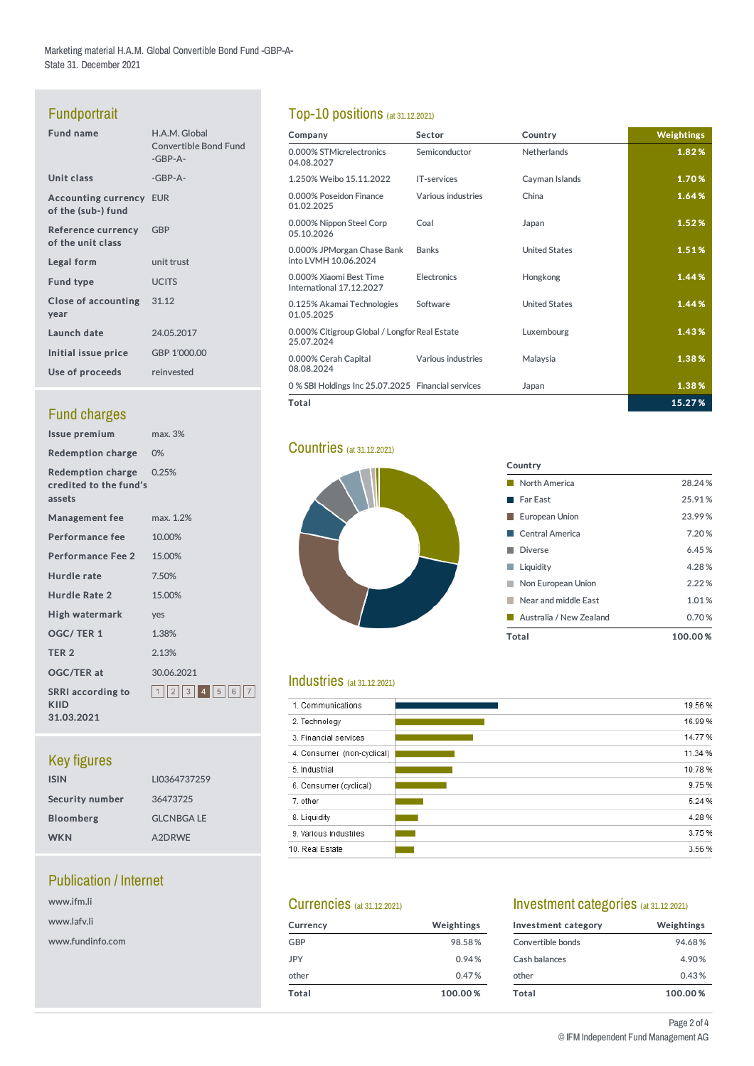Marketing material H.A.M. Global Convertible Bond Fund -GBP-A-State 31. December 2021

# **Fundportrait**

| <b>Fund name</b>                                     | H.A.M. Global<br><b>Convertible Bond Fund</b><br>$-GBP-A-$ |
|------------------------------------------------------|------------------------------------------------------------|
| Unit class                                           | $-GBP-A-$                                                  |
| <b>Accounting currency EUR</b><br>of the (sub-) fund |                                                            |
| Reference currency GBP<br>of the unit class          |                                                            |
| Legal form                                           | unit trust                                                 |
| <b>Fund type</b>                                     | <b>UCITS</b>                                               |
| Close of accounting 31.12<br>year                    |                                                            |
| Launch date                                          | 24.05.2017                                                 |
| Initial issue price                                  | GBP 1'000.00                                               |
| Use of proceeds                                      | reinvested                                                 |
|                                                      |                                                            |

# **Fund charges**

| Issue premium                                         | max. 3%             |
|-------------------------------------------------------|---------------------|
| <b>Redemption charge</b>                              | $0\%$               |
| Redemption charge<br>credited to the fund's<br>assets | 0.25%               |
| <b>Management fee</b>                                 | max. 1.2%           |
| <b>Performance fee</b>                                | 10.00%              |
| <b>Performance Fee 2</b>                              | 15.00%              |
| Hurdle rate                                           | 7.50%               |
| Hurdle Rate 2                                         | 15.00%              |
| High watermark                                        | yes                 |
| OGC/TER 1                                             | 1.38%               |
| TER <sub>2</sub>                                      | 2.13%               |
| <b>OGC/TER at</b>                                     | 30.06.2021          |
| <b>SRRI</b> according to<br><b>KIID</b><br>31.03.2021 | 1  2  3  4  5  6  7 |

# Key figures

| <b>ISIN</b>      | LI0364737259     |
|------------------|------------------|
| Security number  | 36473725         |
| <b>Bloomberg</b> | <b>GLCNBGALE</b> |
| <b>WKN</b>       | A2DRWE           |

## **Publication / Internet**

| www.ifm.li       |
|------------------|
| www.lafv.li      |
| www.fundinfo.com |

# Top-10 positions (at 31.12.2021)

| Company                                                     | Sector             | Country              | Weightings |
|-------------------------------------------------------------|--------------------|----------------------|------------|
| 0.000% STMicrelectronics<br>04.08.2027                      | Semiconductor      | <b>Netherlands</b>   | 1.82%      |
| 1.250% Weibo 15.11.2022                                     | <b>IT-services</b> | Cayman Islands       | 1.70%      |
| 0.000% Poseidon Finance<br>01.02.2025                       | Various industries | China                | 1.64%      |
| 0.000% Nippon Steel Corp<br>05.10.2026                      | Coal               | Japan                | 1.52%      |
| 0.000% JPMorgan Chase Bank<br>into LVMH 10.06.2024          | <b>Banks</b>       | <b>United States</b> | 1.51%      |
| 0.000% Xiaomi Best Time<br>International 17.12.2027         | <b>Electronics</b> | Hongkong             | 1.44%      |
| 0.125% Akamai Technologies<br>01.05.2025                    | Software           | <b>United States</b> | 1.44%      |
| 0.000% Citigroup Global / Longfor Real Estate<br>25.07.2024 |                    | Luxembourg           | 1.43%      |
| 0.000% Cerah Capital<br>08.08.2024                          | Various industries | Malaysia             | 1.38%      |
| 0 % SBI Holdings Inc 25.07.2025 Financial services          |                    | Japan                | 1.38%      |
| Total                                                       |                    |                      | 15.27%     |

#### **Countries** (at 31.12.2021)



#### Country **North America** 28.24% ■ Far East 25.91% ■ European Union 23.99% ■ Central America 7.20 % Diverse 6.45% **Liquidity** 4.28% **Non European Union** 2.22% Near and middle East 1.01% Australia / New Zealand 0.70% Total 100.00 %

#### Industries (at 31.12.2021)

| 19.56 % |
|---------|
|         |
| 16.99%  |
| 14.77%  |
| 11.34 % |
| 10.78%  |
| 9.75%   |
| 5.24 %  |
| 4.28%   |
| 3.75%   |
| 3.56%   |
|         |

#### Currencies (at 31.12.2021)

| Currency   | Weightings |
|------------|------------|
| GBP        | 98.58%     |
| <b>JPY</b> | 0.94%      |
| other      | 0.47%      |
| Total      | 100.00%    |

#### Investment categories (at 31.12.2021)

| Investment category | Weightings |
|---------------------|------------|
| Convertible bonds   | 94.68%     |
| Cash balances       | 4.90%      |
| other               | 0.43%      |
| Total               | 100.00%    |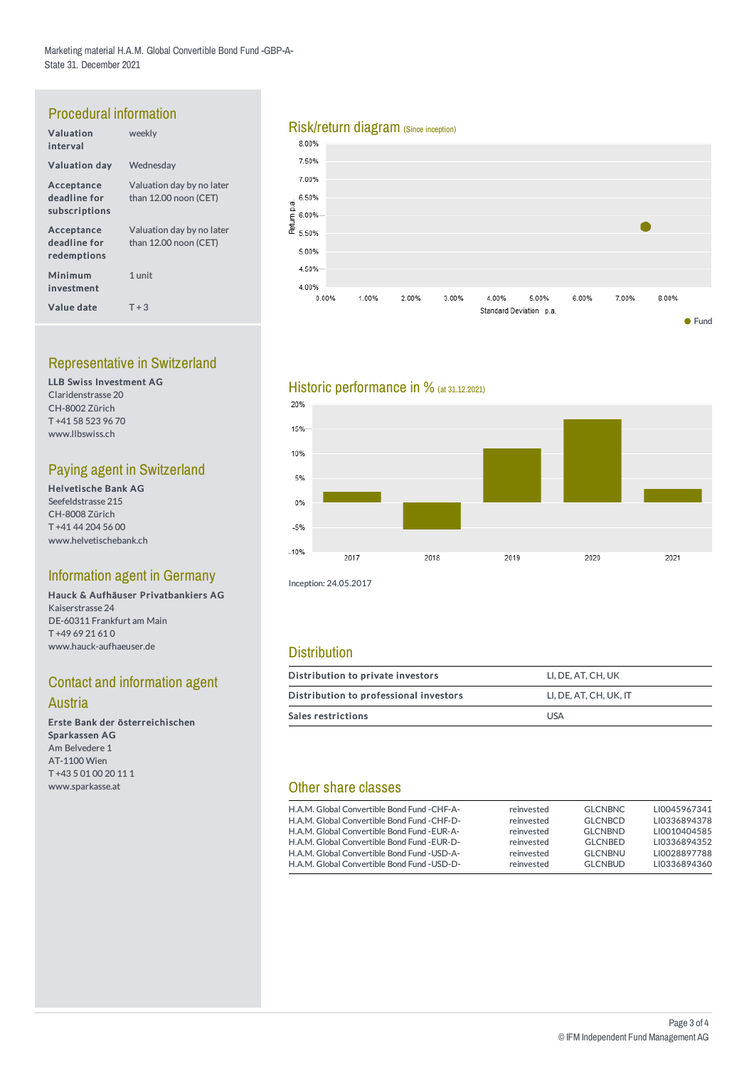# Procedural information

| Valuation<br>interval                       | weekly                                             |
|---------------------------------------------|----------------------------------------------------|
| <b>Valuation day</b>                        | Wednesday                                          |
| Acceptance<br>deadline for<br>subscriptions | Valuation day by no later<br>than 12.00 noon (CET) |
| Acceptance<br>deadline for<br>redemptions   | Valuation day by no later<br>than 12.00 noon (CET) |
| Minimum<br>investment                       | 1 unit                                             |
| Value date                                  | $T + 3$                                            |

### Representative in Switzerland

LLB Swiss Investment AG Claridenstrasse 20 CH-8002 Zürich T +41 58 523 96 70 www.llbswiss.ch

# Paying agent in Switzerland

Helvetische Bank AG Seefeldstrasse 215 CH-8008 Zürich T +41 44 204 56 00 www.helvetischebank.ch

#### Information agent in Germany

Hauck & Aufhäuser Privatbankiers AG Kaiserstrasse 24 DE-60311 Frankfurt am Main T +49 69 21 61 0 www.hauck-aufhaeuser.de

# **Contact and information agent**

#### Austria

Erste Bank der österreichischen Sparkassen AG Am Belvedere 1 AT-1100 Wien T +43 5 01 00 20 11 1 www.sparkasse.at

# Risk/return diagram (Since inception)<br>8.00%



#### Historic performance in % (at 31.12.2021)



Inception: 24.05.2017

#### **Distribution**

| Distribution to private investors      | LI. DE. AT. CH. UK     |  |  |  |
|----------------------------------------|------------------------|--|--|--|
| Distribution to professional investors | LI, DE, AT, CH, UK, IT |  |  |  |
| Sales restrictions                     | <b>USA</b>             |  |  |  |

#### Other share classes

| H.A.M. Global Convertible Bond Fund - CHF-A-<br>H.A.M. Global Convertible Bond Fund - CHF-D- | reinvested<br>reinvested | <b>GLCNBNC</b><br><b>GLCNBCD</b> | LI0045967341<br>LI0336894378 |
|----------------------------------------------------------------------------------------------|--------------------------|----------------------------------|------------------------------|
| H.A.M. Global Convertible Bond Fund - EUR-A-                                                 | reinvested               | <b>GLCNBND</b>                   | LI0010404585                 |
| H.A.M. Global Convertible Bond Fund - EUR-D-                                                 | reinvested               | <b>GLCNBED</b>                   | LI0336894352                 |
| H.A.M. Global Convertible Bond Fund - USD-A-                                                 | reinvested               | <b>GLCNBNU</b>                   | LI0028897788                 |
| H.A.M. Global Convertible Bond Fund - USD-D-                                                 | reinvested               | <b>GLCNBUD</b>                   | LI0336894360                 |
|                                                                                              |                          |                                  |                              |